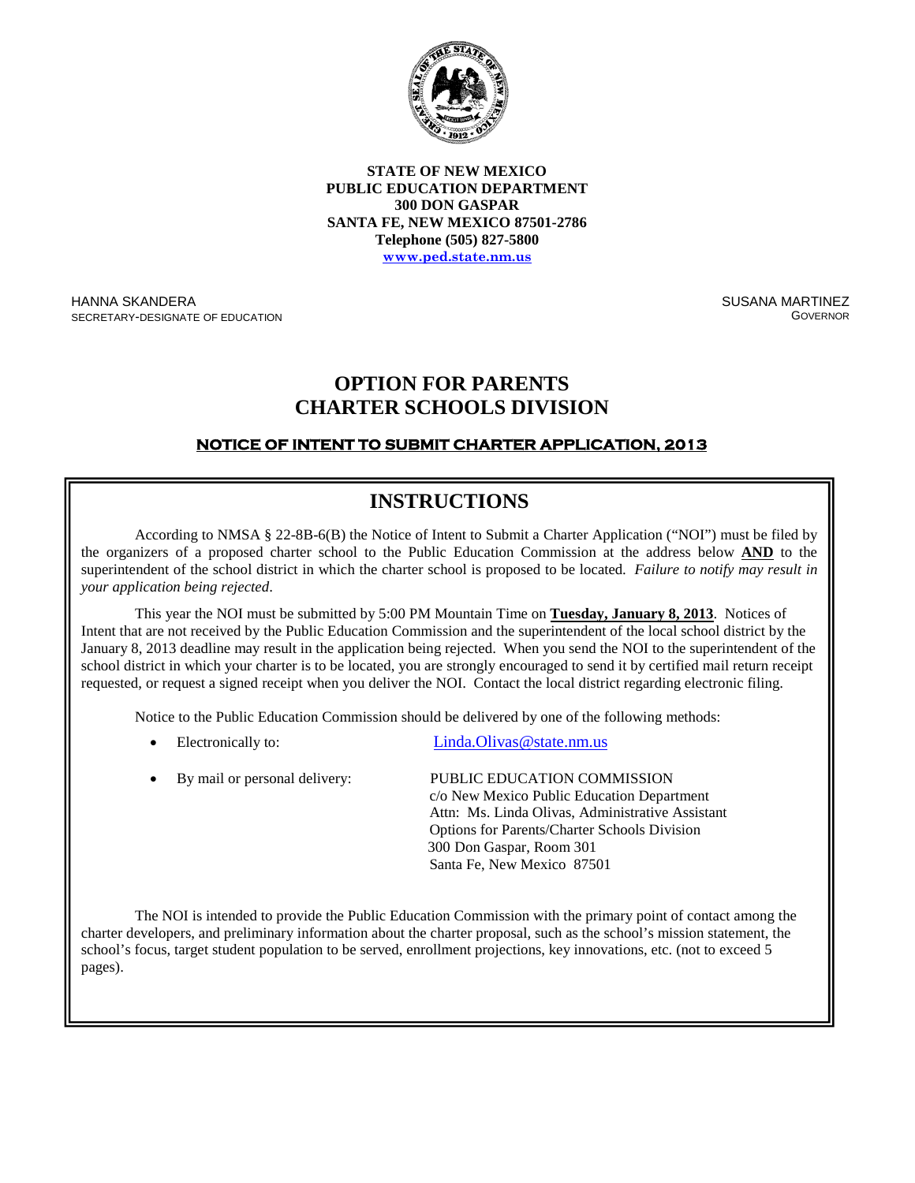

**STATE OF NEW MEXICO PUBLIC EDUCATION DEPARTMENT 300 DON GASPAR SANTA FE, NEW MEXICO 87501-2786 Telephone (505) 827-5800 [www.ped.state.nm.us](http://www.sde.state.nm.us/)**

HANNA SKANDERA SECRETARY-DESIGNATE OF EDUCATION SUSANA MARTINEZ **GOVERNOR** 

## **OPTION FOR PARENTS CHARTER SCHOOLS DIVISION**

### **NOTICE OF INTENT TO SUBMIT CHARTER APPLICATION, 2013**

# **INSTRUCTIONS**

According to NMSA § 22-8B-6(B) the Notice of Intent to Submit a Charter Application ("NOI") must be filed by the organizers of a proposed charter school to the Public Education Commission at the address below **AND** to the superintendent of the school district in which the charter school is proposed to be located. *Failure to notify may result in your application being rejected*.

This year the NOI must be submitted by 5:00 PM Mountain Time on **Tuesday, January 8, 2013**. Notices of Intent that are not received by the Public Education Commission and the superintendent of the local school district by the January 8, 2013 deadline may result in the application being rejected. When you send the NOI to the superintendent of the school district in which your charter is to be located, you are strongly encouraged to send it by certified mail return receipt requested, or request a signed receipt when you deliver the NOI. Contact the local district regarding electronic filing.

Notice to the Public Education Commission should be delivered by one of the following methods:

- Electronically to: Linda.Olivas @state.nm.us
- By mail or personal delivery: PUBLIC EDUCATION COMMISSION c/o New Mexico Public Education Department Attn: Ms. Linda Olivas, Administrative Assistant Options for Parents/Charter Schools Division 300 Don Gaspar, Room 301 Santa Fe, New Mexico 87501

The NOI is intended to provide the Public Education Commission with the primary point of contact among the charter developers, and preliminary information about the charter proposal, such as the school's mission statement, the school's focus, target student population to be served, enrollment projections, key innovations, etc. (not to exceed 5 ges). pages).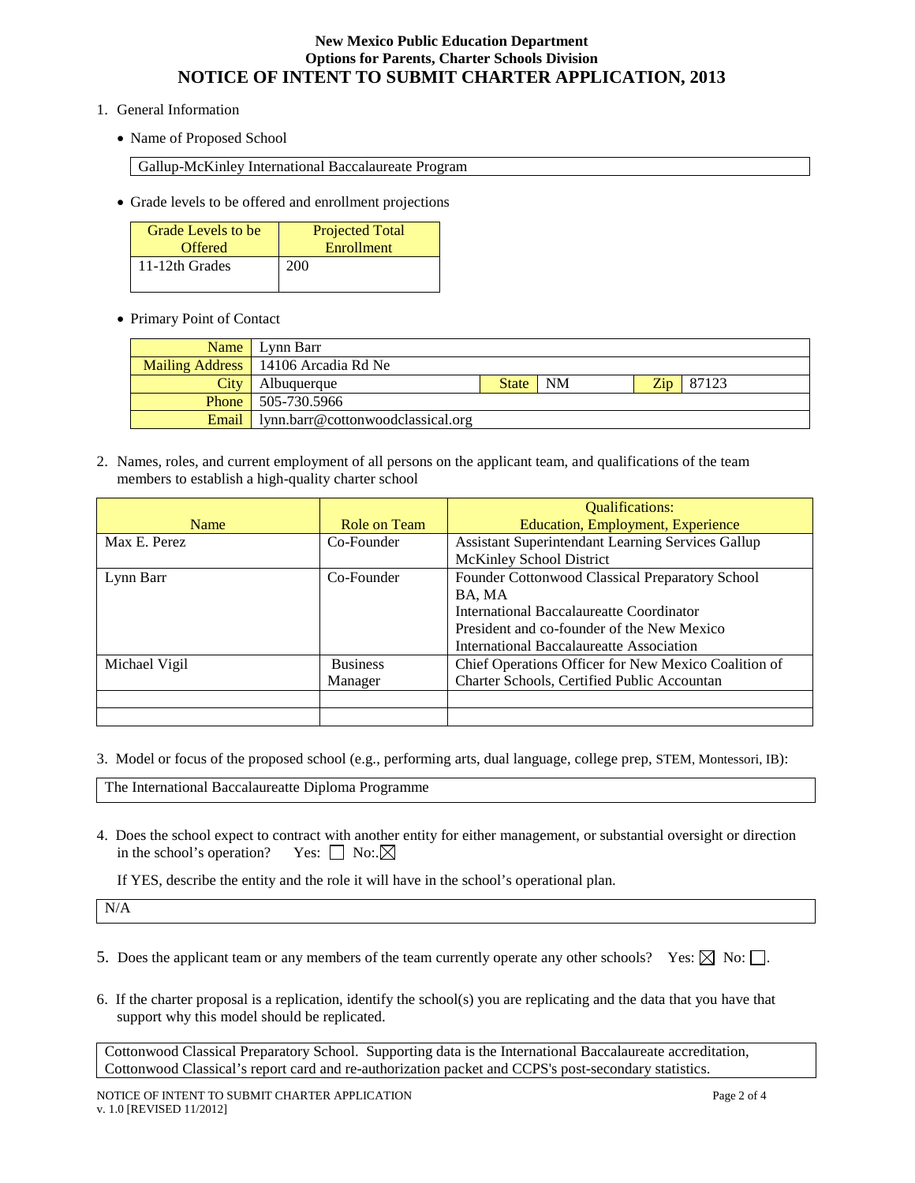#### **New Mexico Public Education Department Options for Parents, Charter Schools Division NOTICE OF INTENT TO SUBMIT CHARTER APPLICATION, 2013**

- 1. General Information
	- Name of Proposed School

Gallup-McKinley International Baccalaureate Program

• Grade levels to be offered and enrollment projections

| Grade Levels to be | <b>Projected Total</b> |
|--------------------|------------------------|
| <b>Offered</b>     | Enrollment             |
| 11-12th Grades     | 200                    |

• Primary Point of Contact

|      | Name Lynn Barr                                   |       |    |  |                      |
|------|--------------------------------------------------|-------|----|--|----------------------|
|      | Mailing Address   14106 Arcadia Rd Ne            |       |    |  |                      |
| City | Albuquerque                                      | State | NM |  | $\mathbb{Z}ip$ 87123 |
|      | <b>Phone</b> 505-730.5966                        |       |    |  |                      |
|      | <b>Email</b>   lynn.barr@cottonwoodclassical.org |       |    |  |                      |

2. Names, roles, and current employment of all persons on the applicant team, and qualifications of the team members to establish a high-quality charter school

|               |                 | <b>Qualifications:</b>                               |  |
|---------------|-----------------|------------------------------------------------------|--|
| <b>Name</b>   | Role on Team    | <b>Education, Employment, Experience</b>             |  |
| Max E. Perez  | Co-Founder      | Assistant Superintendant Learning Services Gallup    |  |
|               |                 | McKinley School District                             |  |
| Lynn Barr     | Co-Founder      | Founder Cottonwood Classical Preparatory School      |  |
|               |                 | BA, MA                                               |  |
|               |                 | International Baccalaureatte Coordinator             |  |
|               |                 | President and co-founder of the New Mexico           |  |
|               |                 | International Baccalaureatte Association             |  |
| Michael Vigil | <b>Business</b> | Chief Operations Officer for New Mexico Coalition of |  |
|               | Manager         | Charter Schools, Certified Public Accountan          |  |
|               |                 |                                                      |  |
|               |                 |                                                      |  |

3. Model or focus of the proposed school (e.g., performing arts, dual language, college prep, STEM, Montessori, IB):

The International Baccalaureatte Diploma Programme

4. Does the school expect to contract with another entity for either management, or substantial oversight or direction in the school's operation? Yes:  $\Box$  No:  $\boxtimes$ 

If YES, describe the entity and the role it will have in the school's operational plan.

N/A

- 5. Does the applicant team or any members of the team currently operate any other schools? Yes:  $\boxtimes$  No:  $\Box$ .
- 6. If the charter proposal is a replication, identify the school(s) you are replicating and the data that you have that support why this model should be replicated.

Cottonwood Classical Preparatory School. Supporting data is the International Baccalaureate accreditation, Cottonwood Classical's report card and re-authorization packet and CCPS's post-secondary statistics.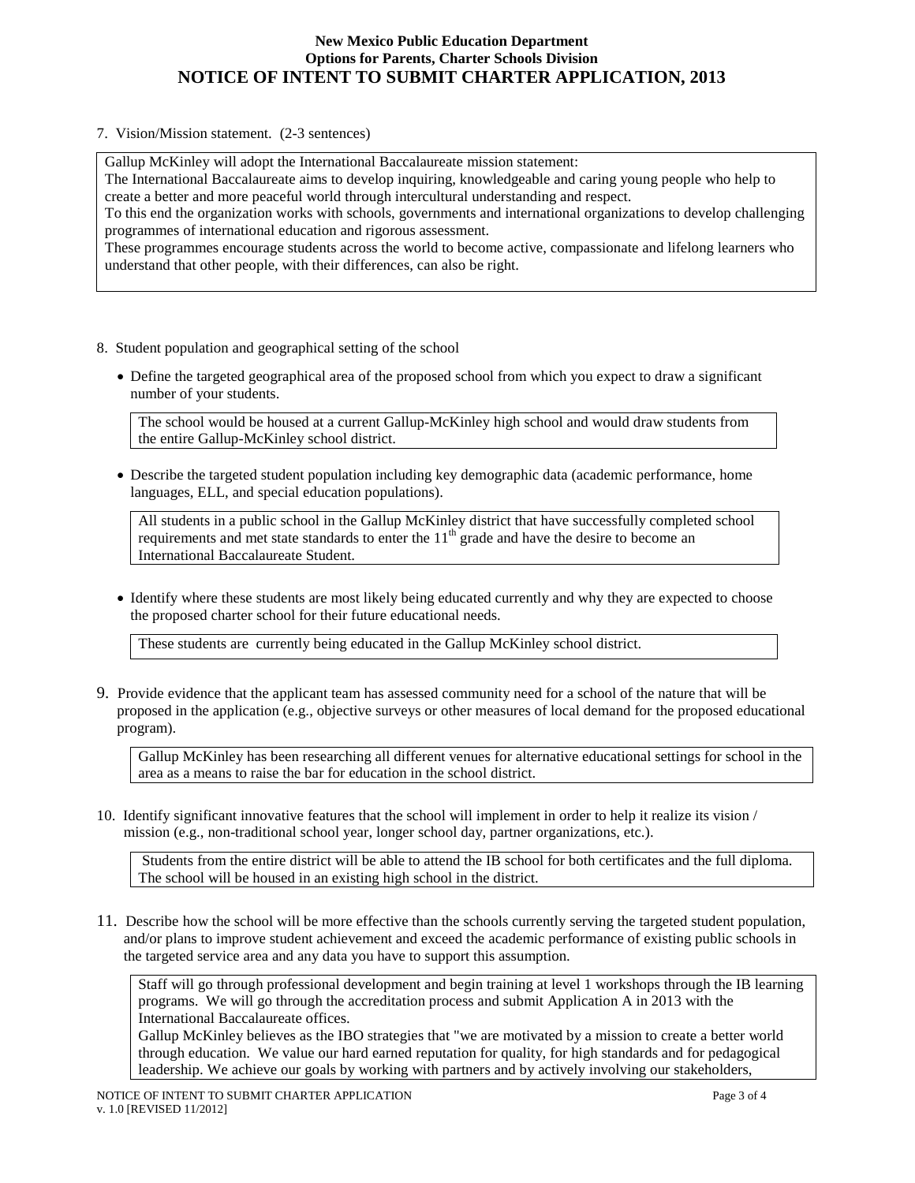#### **New Mexico Public Education Department Options for Parents, Charter Schools Division NOTICE OF INTENT TO SUBMIT CHARTER APPLICATION, 2013**

7. Vision/Mission statement. (2-3 sentences)

Gallup McKinley will adopt the International Baccalaureate mission statement:

The International Baccalaureate aims to develop inquiring, knowledgeable and caring young people who help to create a better and more peaceful world through intercultural understanding and respect.

To this end the organization works with schools, governments and international organizations to develop challenging programmes of international education and rigorous assessment.

These programmes encourage students across the world to become active, compassionate and lifelong learners who understand that other people, with their differences, can also be right.

- 8. Student population and geographical setting of the school
	- Define the targeted geographical area of the proposed school from which you expect to draw a significant number of your students.

The school would be housed at a current Gallup-McKinley high school and would draw students from the entire Gallup-McKinley school district.

• Describe the targeted student population including key demographic data (academic performance, home languages, ELL, and special education populations).

All students in a public school in the Gallup McKinley district that have successfully completed school requirements and met state standards to enter the  $11<sup>th</sup>$  grade and have the desire to become an International Baccalaureate Student.

• Identify where these students are most likely being educated currently and why they are expected to choose the proposed charter school for their future educational needs.

These students are currently being educated in the Gallup McKinley school district.

9. Provide evidence that the applicant team has assessed community need for a school of the nature that will be proposed in the application (e.g., objective surveys or other measures of local demand for the proposed educational program).

Gallup McKinley has been researching all different venues for alternative educational settings for school in the area as a means to raise the bar for education in the school district.

10. Identify significant innovative features that the school will implement in order to help it realize its vision / mission (e.g., non-traditional school year, longer school day, partner organizations, etc.).

Students from the entire district will be able to attend the IB school for both certificates and the full diploma. The school will be housed in an existing high school in the district.

11. Describe how the school will be more effective than the schools currently serving the targeted student population, and/or plans to improve student achievement and exceed the academic performance of existing public schools in the targeted service area and any data you have to support this assumption.

Staff will go through professional development and begin training at level 1 workshops through the IB learning programs. We will go through the accreditation process and submit Application A in 2013 with the International Baccalaureate offices.

Gallup McKinley believes as the IBO strategies that "we are motivated by a mission to create a better world through education. We value our hard earned reputation for quality, for high standards and for pedagogical leadership. We achieve our goals by working with partners and by actively involving our stakeholders,